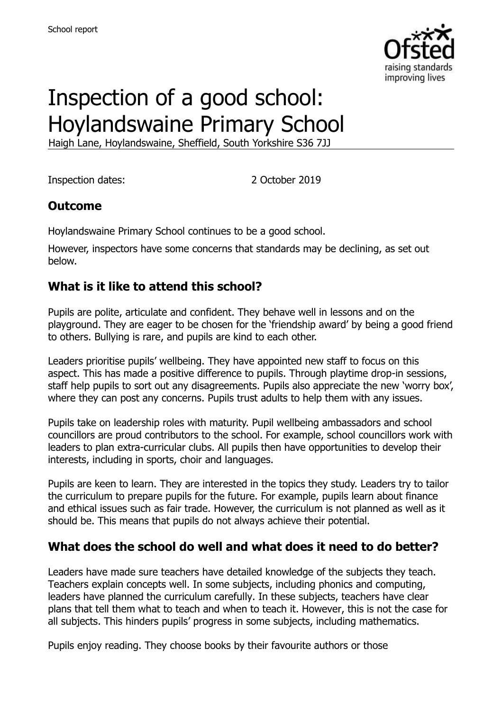

# Inspection of a good school: Hoylandswaine Primary School

Haigh Lane, Hoylandswaine, Sheffield, South Yorkshire S36 7JJ

Inspection dates: 2 October 2019

#### **Outcome**

Hoylandswaine Primary School continues to be a good school.

However, inspectors have some concerns that standards may be declining, as set out below.

#### **What is it like to attend this school?**

Pupils are polite, articulate and confident. They behave well in lessons and on the playground. They are eager to be chosen for the 'friendship award' by being a good friend to others. Bullying is rare, and pupils are kind to each other.

Leaders prioritise pupils' wellbeing. They have appointed new staff to focus on this aspect. This has made a positive difference to pupils. Through playtime drop-in sessions, staff help pupils to sort out any disagreements. Pupils also appreciate the new 'worry box', where they can post any concerns. Pupils trust adults to help them with any issues.

Pupils take on leadership roles with maturity. Pupil wellbeing ambassadors and school councillors are proud contributors to the school. For example, school councillors work with leaders to plan extra-curricular clubs. All pupils then have opportunities to develop their interests, including in sports, choir and languages.

Pupils are keen to learn. They are interested in the topics they study. Leaders try to tailor the curriculum to prepare pupils for the future. For example, pupils learn about finance and ethical issues such as fair trade. However, the curriculum is not planned as well as it should be. This means that pupils do not always achieve their potential.

# **What does the school do well and what does it need to do better?**

Leaders have made sure teachers have detailed knowledge of the subjects they teach. Teachers explain concepts well. In some subjects, including phonics and computing, leaders have planned the curriculum carefully. In these subjects, teachers have clear plans that tell them what to teach and when to teach it. However, this is not the case for all subjects. This hinders pupils' progress in some subjects, including mathematics.

Pupils enjoy reading. They choose books by their favourite authors or those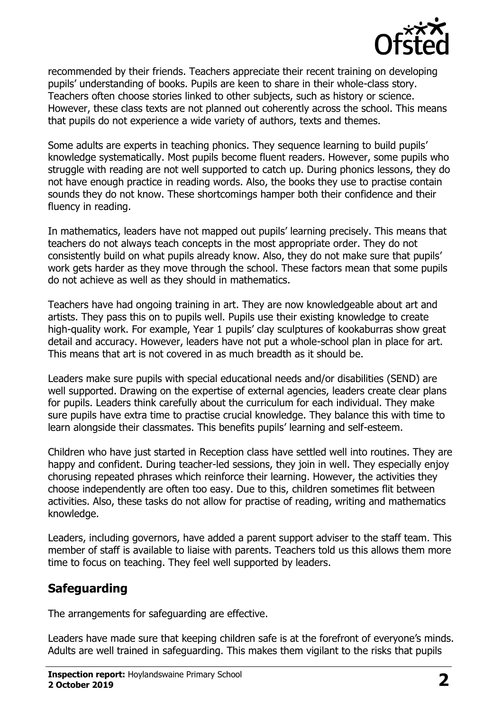

recommended by their friends. Teachers appreciate their recent training on developing pupils' understanding of books. Pupils are keen to share in their whole-class story. Teachers often choose stories linked to other subjects, such as history or science. However, these class texts are not planned out coherently across the school. This means that pupils do not experience a wide variety of authors, texts and themes.

Some adults are experts in teaching phonics. They sequence learning to build pupils' knowledge systematically. Most pupils become fluent readers. However, some pupils who struggle with reading are not well supported to catch up. During phonics lessons, they do not have enough practice in reading words. Also, the books they use to practise contain sounds they do not know. These shortcomings hamper both their confidence and their fluency in reading.

In mathematics, leaders have not mapped out pupils' learning precisely. This means that teachers do not always teach concepts in the most appropriate order. They do not consistently build on what pupils already know. Also, they do not make sure that pupils' work gets harder as they move through the school. These factors mean that some pupils do not achieve as well as they should in mathematics.

Teachers have had ongoing training in art. They are now knowledgeable about art and artists. They pass this on to pupils well. Pupils use their existing knowledge to create high-quality work. For example, Year 1 pupils' clay sculptures of kookaburras show great detail and accuracy. However, leaders have not put a whole-school plan in place for art. This means that art is not covered in as much breadth as it should be.

Leaders make sure pupils with special educational needs and/or disabilities (SEND) are well supported. Drawing on the expertise of external agencies, leaders create clear plans for pupils. Leaders think carefully about the curriculum for each individual. They make sure pupils have extra time to practise crucial knowledge. They balance this with time to learn alongside their classmates. This benefits pupils' learning and self-esteem.

Children who have just started in Reception class have settled well into routines. They are happy and confident. During teacher-led sessions, they join in well. They especially enjoy chorusing repeated phrases which reinforce their learning. However, the activities they choose independently are often too easy. Due to this, children sometimes flit between activities. Also, these tasks do not allow for practise of reading, writing and mathematics knowledge.

Leaders, including governors, have added a parent support adviser to the staff team. This member of staff is available to liaise with parents. Teachers told us this allows them more time to focus on teaching. They feel well supported by leaders.

# **Safeguarding**

The arrangements for safeguarding are effective.

Leaders have made sure that keeping children safe is at the forefront of everyone's minds. Adults are well trained in safeguarding. This makes them vigilant to the risks that pupils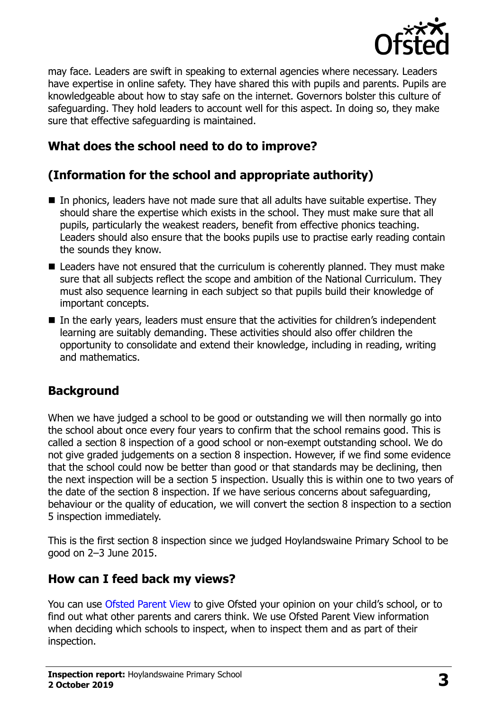

may face. Leaders are swift in speaking to external agencies where necessary. Leaders have expertise in online safety. They have shared this with pupils and parents. Pupils are knowledgeable about how to stay safe on the internet. Governors bolster this culture of safeguarding. They hold leaders to account well for this aspect. In doing so, they make sure that effective safeguarding is maintained.

# **What does the school need to do to improve?**

# **(Information for the school and appropriate authority)**

- In phonics, leaders have not made sure that all adults have suitable expertise. They should share the expertise which exists in the school. They must make sure that all pupils, particularly the weakest readers, benefit from effective phonics teaching. Leaders should also ensure that the books pupils use to practise early reading contain the sounds they know.
- Leaders have not ensured that the curriculum is coherently planned. They must make sure that all subjects reflect the scope and ambition of the National Curriculum. They must also sequence learning in each subject so that pupils build their knowledge of important concepts.
- In the early years, leaders must ensure that the activities for children's independent learning are suitably demanding. These activities should also offer children the opportunity to consolidate and extend their knowledge, including in reading, writing and mathematics.

# **Background**

When we have judged a school to be good or outstanding we will then normally go into the school about once every four years to confirm that the school remains good. This is called a section 8 inspection of a good school or non-exempt outstanding school. We do not give graded judgements on a section 8 inspection. However, if we find some evidence that the school could now be better than good or that standards may be declining, then the next inspection will be a section 5 inspection. Usually this is within one to two years of the date of the section 8 inspection. If we have serious concerns about safeguarding, behaviour or the quality of education, we will convert the section 8 inspection to a section 5 inspection immediately.

This is the first section 8 inspection since we judged Hoylandswaine Primary School to be good on 2–3 June 2015.

# **How can I feed back my views?**

You can use [Ofsted Parent View](https://parentview.ofsted.gov.uk/) to give Ofsted your opinion on your child's school, or to find out what other parents and carers think. We use Ofsted Parent View information when deciding which schools to inspect, when to inspect them and as part of their inspection.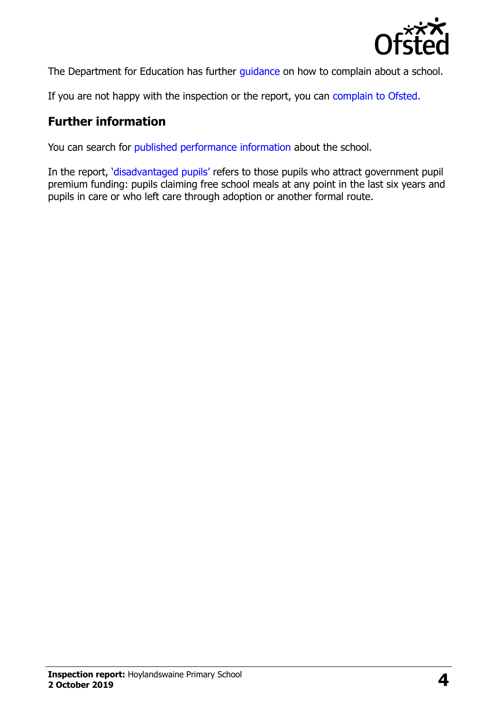

The Department for Education has further quidance on how to complain about a school.

If you are not happy with the inspection or the report, you can [complain to Ofsted.](https://www.gov.uk/complain-ofsted-report)

#### **Further information**

You can search for [published performance information](http://www.compare-school-performance.service.gov.uk/) about the school.

In the report, '[disadvantaged pupils](http://www.gov.uk/guidance/pupil-premium-information-for-schools-and-alternative-provision-settings)' refers to those pupils who attract government pupil premium funding: pupils claiming free school meals at any point in the last six years and pupils in care or who left care through adoption or another formal route.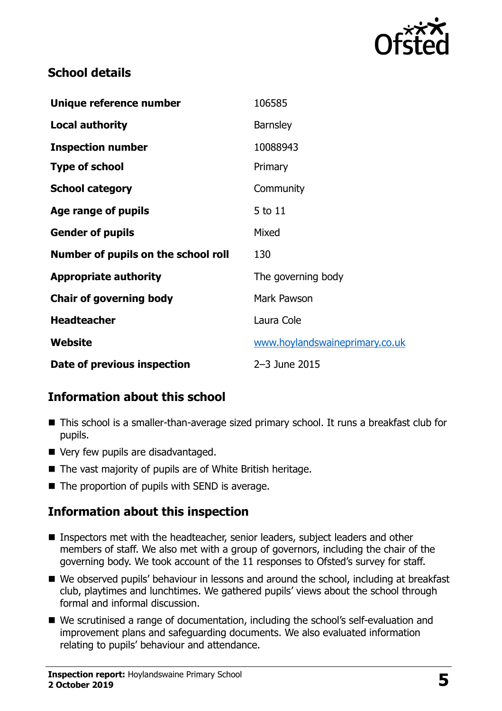

#### **School details**

| Unique reference number             | 106585                         |
|-------------------------------------|--------------------------------|
| <b>Local authority</b>              | <b>Barnsley</b>                |
| <b>Inspection number</b>            | 10088943                       |
| <b>Type of school</b>               | Primary                        |
| <b>School category</b>              | Community                      |
| Age range of pupils                 | 5 to 11                        |
| <b>Gender of pupils</b>             | Mixed                          |
| Number of pupils on the school roll | 130                            |
| <b>Appropriate authority</b>        | The governing body             |
| <b>Chair of governing body</b>      | Mark Pawson                    |
| <b>Headteacher</b>                  | Laura Cole                     |
| Website                             | www.hoylandswaineprimary.co.uk |
| Date of previous inspection         | 2-3 June 2015                  |

# **Information about this school**

- This school is a smaller-than-average sized primary school. It runs a breakfast club for pupils.
- Very few pupils are disadvantaged.
- The vast majority of pupils are of White British heritage.
- $\blacksquare$  The proportion of pupils with SEND is average.

# **Information about this inspection**

- **Inspectors met with the headteacher, senior leaders, subject leaders and other** members of staff. We also met with a group of governors, including the chair of the governing body. We took account of the 11 responses to Ofsted's survey for staff.
- We observed pupils' behaviour in lessons and around the school, including at breakfast club, playtimes and lunchtimes. We gathered pupils' views about the school through formal and informal discussion.
- We scrutinised a range of documentation, including the school's self-evaluation and improvement plans and safeguarding documents. We also evaluated information relating to pupils' behaviour and attendance.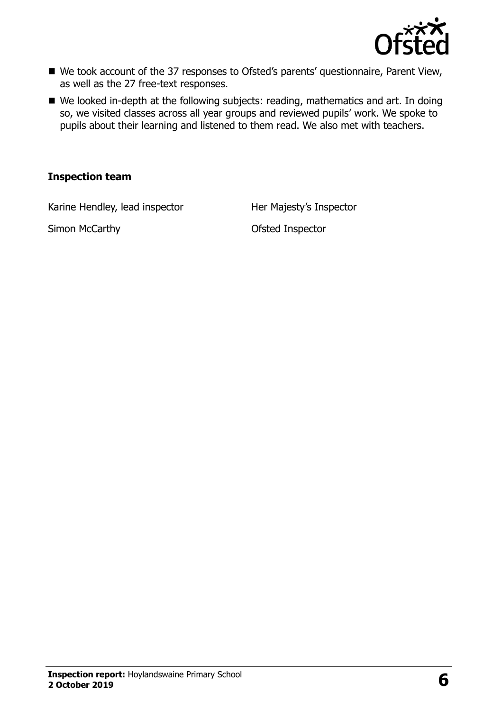

- We took account of the 37 responses to Ofsted's parents' questionnaire, Parent View, as well as the 27 free-text responses.
- We looked in-depth at the following subjects: reading, mathematics and art. In doing so, we visited classes across all year groups and reviewed pupils' work. We spoke to pupils about their learning and listened to them read. We also met with teachers.

#### **Inspection team**

Karine Hendley, lead inspector Her Majesty's Inspector

Simon McCarthy **Carry Community** Ofsted Inspector